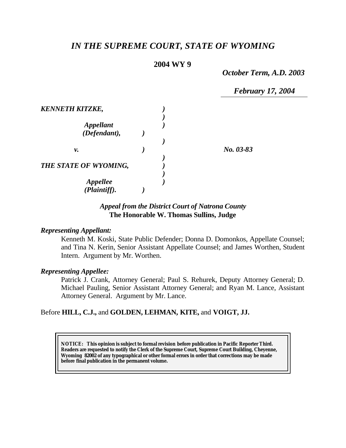# *IN THE SUPREME COURT, STATE OF WYOMING*

# **2004 WY 9**

*October Term, A.D. 2003*

*February 17, 2004*

|  | No. 03-83 |
|--|-----------|
|  |           |
|  |           |
|  |           |

## *Appeal from the District Court of Natrona County* **The Honorable W. Thomas Sullins, Judge**

#### *Representing Appellant:*

Kenneth M. Koski, State Public Defender; Donna D. Domonkos, Appellate Counsel; and Tina N. Kerin, Senior Assistant Appellate Counsel; and James Worthen, Student Intern. Argument by Mr. Worthen.

#### *Representing Appellee:*

Patrick J. Crank, Attorney General; Paul S. Rehurek, Deputy Attorney General; D. Michael Pauling, Senior Assistant Attorney General; and Ryan M. Lance, Assistant Attorney General. Argument by Mr. Lance.

#### Before **HILL, C.J.,** and **GOLDEN, LEHMAN, KITE,** and **VOIGT, JJ.**

**NOTICE:** *This opinion is subject to formal revision before publication in Pacific Reporter Third. Readers are requested to notify the Clerk of the Supreme Court, Supreme Court Building, Cheyenne, Wyoming 82002 of any typographical or other formal errors in order that corrections may be made before final publication in the permanent volume.*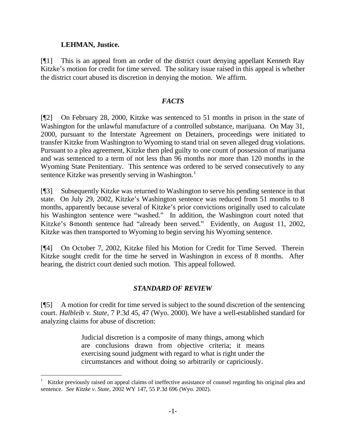### **LEHMAN, Justice.**

l

[¶1] This is an appeal from an order of the district court denying appellant Kenneth Ray Kitzke's motion for credit for time served. The solitary issue raised in this appeal is whether the district court abused its discretion in denying the motion. We affirm.

#### *FACTS*

[¶2] On February 28, 2000, Kitzke was sentenced to 51 months in prison in the state of Washington for the unlawful manufacture of a controlled substance, marijuana. On May 31, 2000, pursuant to the Interstate Agreement on Detainers, proceedings were initiated to transfer Kitzke from Washington to Wyoming to stand trial on seven alleged drug violations. Pursuant to a plea agreement, Kitzke then pled guilty to one count of possession of marijuana and was sentenced to a term of not less than 96 months nor more than 120 months in the Wyoming State Penitentiary. This sentence was ordered to be served consecutively to any sentence Kitzke was presently serving in Washington.<sup>1</sup>

[¶3] Subsequently Kitzke was returned to Washington to serve his pending sentence in that state. On July 29, 2002, Kitzke's Washington sentence was reduced from 51 months to 8 months, apparently because several of Kitzke's prior convictions originally used to calculate his Washington sentence were "washed." In addition, the Washington court noted that Kitzke's 8-month sentence had "already been served." Evidently, on August 11, 2002, Kitzke was then transported to Wyoming to begin serving his Wyoming sentence.

[¶4] On October 7, 2002, Kitzke filed his Motion for Credit for Time Served. Therein Kitzke sought credit for the time he served in Washington in excess of 8 months. After hearing, the district court denied such motion. This appeal followed.

## *STANDARD OF REVIEW*

[¶5] A motion for credit for time served is subject to the sound discretion of the sentencing court. *Halbleib v. State*, 7 P.3d 45, 47 (Wyo. 2000). We have a well-established standard for analyzing claims for abuse of discretion:

> Judicial discretion is a composite of many things, among which are conclusions drawn from objective criteria; it means exercising sound judgment with regard to what is right under the circumstances and without doing so arbitrarily or capriciously.

<sup>1</sup> Kitzke previously raised on appeal claims of ineffective assistance of counsel regarding his original plea and sentence. *See Kitzke v. State*, 2002 WY 147, 55 P.3d 696 (Wyo. 2002).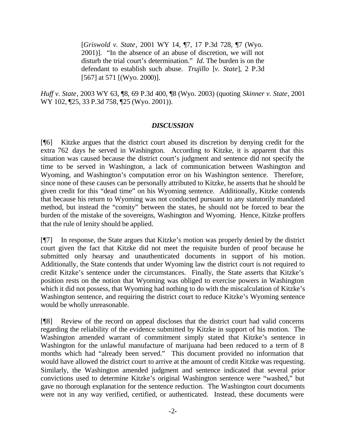[*Griswold v. State*, 2001 WY 14, ¶7, 17 P.3d 728, ¶7 (Wyo. 2001)]. "In the absence of an abuse of discretion, we will not disturb the trial court's determination." *Id.* The burden is on the defendant to establish such abuse. *Trujillo* [*v. State*], 2 P.3d [567] at 571 [(Wyo. 2000)].

*Huff v. State*, 2003 WY 63, ¶8, 69 P.3d 400, ¶8 (Wyo. 2003) (quoting *Skinner v. State*, 2001 WY 102, 125, 33 P.3d 758, 125 (Wyo. 2001)).

#### *DISCUSSION*

[¶6] Kitzke argues that the district court abused its discretion by denying credit for the extra 762 days he served in Washington. According to Kitzke, it is apparent that this situation was caused because the district court's judgment and sentence did not specify the time to be served in Washington, a lack of communication between Washington and Wyoming, and Washington's computation error on his Washington sentence. Therefore, since none of these causes can be personally attributed to Kitzke, he asserts that he should be given credit for this "dead time" on his Wyoming sentence. Additionally, Kitzke contends that because his return to Wyoming was not conducted pursuant to any statutorily mandated method, but instead the "comity" between the states, he should not be forced to bear the burden of the mistake of the sovereigns, Washington and Wyoming. Hence, Kitzke proffers that the rule of lenity should be applied.

[¶7] In response, the State argues that Kitzke's motion was properly denied by the district court given the fact that Kitzke did not meet the requisite burden of proof because he submitted only hearsay and unauthenticated documents in support of his motion. Additionally, the State contends that under Wyoming law the district court is not required to credit Kitzke's sentence under the circumstances. Finally, the State asserts that Kitzke's position rests on the notion that Wyoming was obliged to exercise powers in Washington which it did not possess, that Wyoming had nothing to do with the miscalculation of Kitzke's Washington sentence, and requiring the district court to reduce Kitzke's Wyoming sentence would be wholly unreasonable.

[¶8] Review of the record on appeal discloses that the district court had valid concerns regarding the reliability of the evidence submitted by Kitzke in support of his motion. The Washington amended warrant of commitment simply stated that Kitzke's sentence in Washington for the unlawful manufacture of marijuana had been reduced to a term of 8 months which had "already been served." This document provided no information that would have allowed the district court to arrive at the amount of credit Kitzke was requesting. Similarly, the Washington amended judgment and sentence indicated that several prior convictions used to determine Kitzke's original Washington sentence were "washed," but gave no thorough explanation for the sentence reduction. The Washington court documents were not in any way verified, certified, or authenticated. Instead, these documents were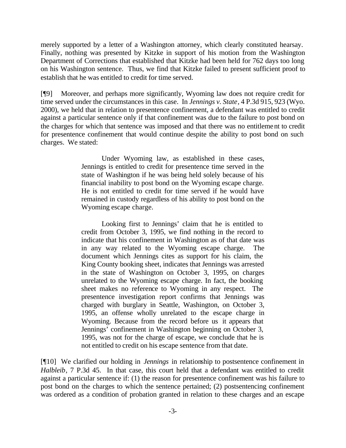merely supported by a letter of a Washington attorney, which clearly constituted hearsay. Finally, nothing was presented by Kitzke in support of his motion from the Washington Department of Corrections that established that Kitzke had been held for 762 days too long on his Washington sentence. Thus, we find that Kitzke failed to present sufficient proof to establish that he was entitled to credit for time served.

[¶9] Moreover, and perhaps more significantly, Wyoming law does not require credit for time served under the circumstances in this case. In *Jennings v. State*, 4 P.3d 915, 923 (Wyo. 2000), we held that in relation to presentence confinement, a defendant was entitled to credit against a particular sentence only if that confinement was due to the failure to post bond on the charges for which that sentence was imposed and that there was no entitlement to credit for presentence confinement that would continue despite the ability to post bond on such charges. We stated:

> Under Wyoming law, as established in these cases, Jennings is entitled to credit for presentence time served in the state of Washington if he was being held solely because of his financial inability to post bond on the Wyoming escape charge. He is not entitled to credit for time served if he would have remained in custody regardless of his ability to post bond on the Wyoming escape charge.

> Looking first to Jennings' claim that he is entitled to credit from October 3, 1995, we find nothing in the record to indicate that his confinement in Washington as of that date was in any way related to the Wyoming escape charge. The document which Jennings cites as support for his claim, the King County booking sheet, indicates that Jennings was arrested in the state of Washington on October 3, 1995, on charges unrelated to the Wyoming escape charge. In fact, the booking sheet makes no reference to Wyoming in any respect. The presentence investigation report confirms that Jennings was charged with burglary in Seattle, Washington, on October 3, 1995, an offense wholly unrelated to the escape charge in Wyoming. Because from the record before us it appears that Jennings' confinement in Washington beginning on October 3, 1995, was not for the charge of escape, we conclude that he is not entitled to credit on his escape sentence from that date.

[¶10] We clarified our holding in *Jennings* in relationship to postsentence confinement in *Halbleib*, 7 P.3d 45. In that case, this court held that a defendant was entitled to credit against a particular sentence if: (1) the reason for presentence confinement was his failure to post bond on the charges to which the sentence pertained; (2) postsentencing confinement was ordered as a condition of probation granted in relation to these charges and an escape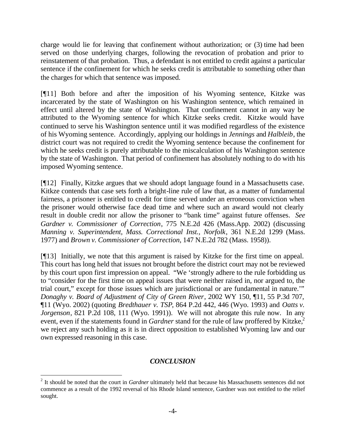charge would lie for leaving that confinement without authorization; or (3) time had been served on those underlying charges, following the revocation of probation and prior to reinstatement of that probation. Thus, a defendant is not entitled to credit against a particular sentence if the confinement for which he seeks credit is attributable to something other than the charges for which that sentence was imposed.

[¶11] Both before and after the imposition of his Wyoming sentence, Kitzke was incarcerated by the state of Washington on his Washington sentence, which remained in effect until altered by the state of Washington. That confinement cannot in any way be attributed to the Wyoming sentence for which Kitzke seeks credit. Kitzke would have continued to serve his Washington sentence until it was modified regardless of the existence of his Wyoming sentence. Accordingly, applying our holdings in *Jennings* and *Halbleib*, the district court was not required to credit the Wyoming sentence because the confinement for which he seeks credit is purely attributable to the miscalculation of his Washington sentence by the state of Washington. That period of confinement has absolutely nothing to do with his imposed Wyoming sentence.

[¶12] Finally, Kitzke argues that we should adopt language found in a Massachusetts case. Kitkze contends that case sets forth a bright-line rule of law that, as a matter of fundamental fairness, a prisoner is entitled to credit for time served under an erroneous conviction when the prisoner would otherwise face dead time and where such an award would not clearly result in double credit nor allow the prisoner to "bank time" against future offenses. *See Gardner v. Commissioner of Correction*, 775 N.E.2d 426 (Mass.App. 2002) (discussing *Manning v. Superintendent, Mass. Correctional Inst., Norfolk*, 361 N.E.2d 1299 (Mass. 1977) and *Brown v. Commissioner of Correction*, 147 N.E.2d 782 (Mass. 1958)).

[¶13] Initially, we note that this argument is raised by Kitzke for the first time on appeal. This court has long held that issues not brought before the district court may not be reviewed by this court upon first impression on appeal. "We 'strongly adhere to the rule forbidding us to "consider for the first time on appeal issues that were neither raised in, nor argued to, the trial court," except for those issues which are jurisdictional or are fundamental in nature.'" *Donaghy v. Board of Adjustment of City of Green River*, 2002 WY 150, ¶11, 55 P.3d 707, ¶11 (Wyo. 2002) (quoting *Bredthauer v. TSP*, 864 P.2d 442, 446 (Wyo. 1993) and *Oatts v. Jorgenson*, 821 P.2d 108, 111 (Wyo. 1991)). We will not abrogate this rule now. In any event, even if the statements found in *Gardner* stand for the rule of law proffered by Kitzke,<sup>2</sup> we reject any such holding as it is in direct opposition to established Wyoming law and our own expressed reasoning in this case.

## *CONCLUSION*

l

<sup>&</sup>lt;sup>2</sup> It should be noted that the court in *Gardner* ultimately held that because his Massachusetts sentences did not commence as a result of the 1992 reversal of his Rhode Island sentence, Gardner was not entitled to the relief sought.